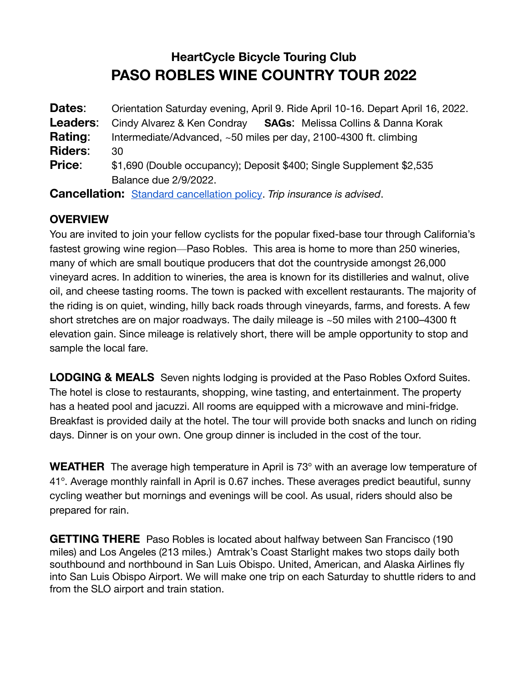# **HeartCycle Bicycle Touring Club PASO ROBLES WINE COUNTRY TOUR 2022**

| Dates:         | Orientation Saturday evening, April 9. Ride April 10-16. Depart April 16, 2022. |
|----------------|---------------------------------------------------------------------------------|
| Leaders:       | <b>SAGs:</b> Melissa Collins & Danna Korak<br>Cindy Alvarez & Ken Condray       |
| Rating:        | Intermediate/Advanced, ~50 miles per day, 2100-4300 ft. climbing                |
| <b>Riders:</b> | 30                                                                              |
| <b>Price:</b>  | \$1,690 (Double occupancy); Deposit \$400; Single Supplement \$2,535            |
|                | Balance due 2/9/2022.                                                           |
|                | <b>Cancellation:</b> Standard cancellation policy. Trip insurance is advised.   |

## **OVERVIEW**

You are invited to join your fellow cyclists for the popular fixed-base tour through California's fastest growing wine region—Paso Robles. This area is home to more than 250 wineries, many of which are small boutique producers that dot the countryside amongst 26,000 vineyard acres. In addition to wineries, the area is known for its distilleries and walnut, olive oil, and cheese tasting rooms. The town is packed with excellent restaurants. The majority of the riding is on quiet, winding, hilly back roads through vineyards, farms, and forests. A few short stretches are on major roadways. The daily mileage is ~50 miles with 2100–4300 ft elevation gain. Since mileage is relatively short, there will be ample opportunity to stop and sample the local fare.

**LODGING & MEALS** Seven nights lodging is provided at the Paso Robles Oxford Suites. The hotel is close to restaurants, shopping, wine tasting, and entertainment. The property has a heated pool and jacuzzi. All rooms are equipped with a microwave and mini-fridge. Breakfast is provided daily at the hotel. The tour will provide both snacks and lunch on riding days. Dinner is on your own. One group dinner is included in the cost of the tour.

**WEATHER** The average high temperature in April is 73° with an average low temperature of 41°. Average monthly rainfall in April is 0.67 inches. These averages predict beautiful, sunny cycling weather but mornings and evenings will be cool. As usual, riders should also be prepared for rain.

**GETTING THERE** Paso Robles is located about halfway between San Francisco (190 miles) and Los Angeles (213 miles.) Amtrak's Coast Starlight makes two stops daily both southbound and northbound in San Luis Obispo. United, American, and Alaska Airlines fly into San Luis Obispo Airport. We will make one trip on each Saturday to shuttle riders to and from the SLO airport and train station.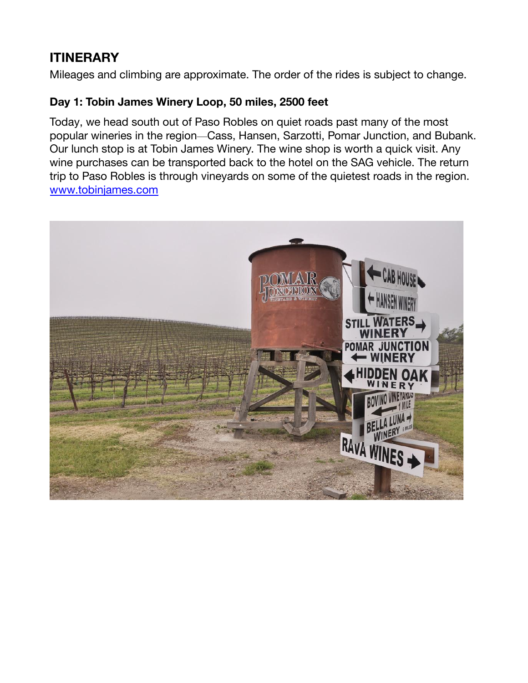## **ITINERARY**

Mileages and climbing are approximate. The order of the rides is subject to change.

## **Day 1: Tobin James Winery Loop, 50 miles, 2500 feet**

Today, we head south out of Paso Robles on quiet roads past many of the most popular wineries in the region—Cass, Hansen, Sarzotti, Pomar Junction, and Bubank. Our lunch stop is at Tobin James Winery. The wine shop is worth a quick visit. Any wine purchases can be transported back to the hotel on the SAG vehicle. The return trip to Paso Robles is through vineyards on some of the quietest roads in the region. [www.tobinjames.com](http://www.tobinjames.com)

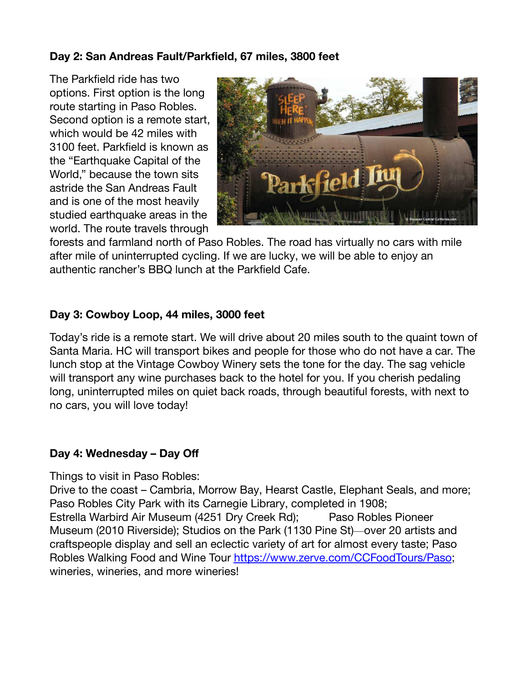## **Day 2: San Andreas Fault/Parkfield, 67 miles, 3800 feet**

The Parkfield ride has two options. First option is the long route starting in Paso Robles. Second option is a remote start, which would be 42 miles with 3100 feet. Parkfield is known as the "Earthquake Capital of the World," because the town sits astride the San Andreas Fault and is one of the most heavily studied earthquake areas in the world. The route travels through



forests and farmland north of Paso Robles. The road has virtually no cars with mile after mile of uninterrupted cycling. If we are lucky, we will be able to enjoy an authentic rancher's BBQ lunch at the Parkfield Cafe.

#### **Day 3: Cowboy Loop, 44 miles, 3000 feet**

Today's ride is a remote start. We will drive about 20 miles south to the quaint town of Santa Maria. HC will transport bikes and people for those who do not have a car. The lunch stop at the Vintage Cowboy Winery sets the tone for the day. The sag vehicle will transport any wine purchases back to the hotel for you. If you cherish pedaling long, uninterrupted miles on quiet back roads, through beautiful forests, with next to no cars, you will love today!

#### **Day 4: Wednesday – Day Off**

Things to visit in Paso Robles:

Drive to the coast – Cambria, Morrow Bay, Hearst Castle, Elephant Seals, and more; Paso Robles City Park with its Carnegie Library, completed in 1908; Estrella Warbird Air Museum (4251 Dry Creek Rd); Paso Robles Pioneer Museum (2010 Riverside); Studios on the Park (1130 Pine St)—over 20 artists and craftspeople display and sell an eclectic variety of art for almost every taste; Paso Robles Walking Food and Wine Tour <https://www.zerve.com/CCFoodTours/Paso>; wineries, wineries, and more wineries!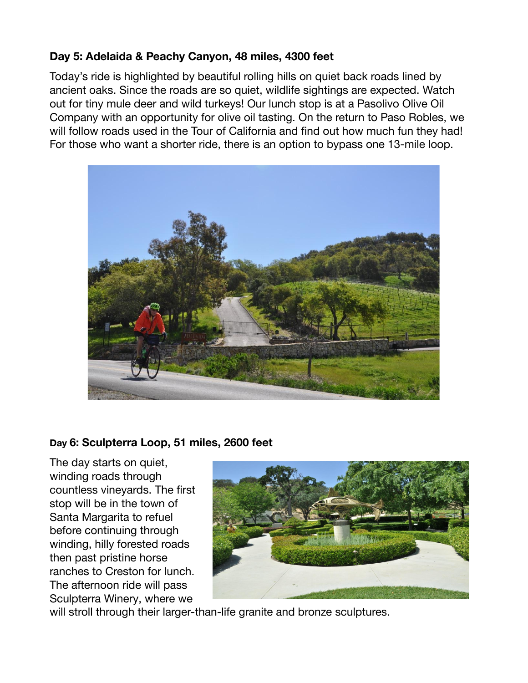## **Day 5: Adelaida & Peachy Canyon, 48 miles, 4300 feet**

Today's ride is highlighted by beautiful rolling hills on quiet back roads lined by ancient oaks. Since the roads are so quiet, wildlife sightings are expected. Watch out for tiny mule deer and wild turkeys! Our lunch stop is at a Pasolivo Olive Oil Company with an opportunity for olive oil tasting. On the return to Paso Robles, we will follow roads used in the Tour of California and find out how much fun they had! For those who want a shorter ride, there is an option to bypass one 13-mile loop.



#### **Day 6: Sculpterra Loop, 51 miles, 2600 feet**

The day starts on quiet, winding roads through countless vineyards. The first stop will be in the town of Santa Margarita to refuel before continuing through winding, hilly forested roads then past pristine horse ranches to Creston for lunch. The afternoon ride will pass Sculpterra Winery, where we



will stroll through their larger-than-life granite and bronze sculptures.